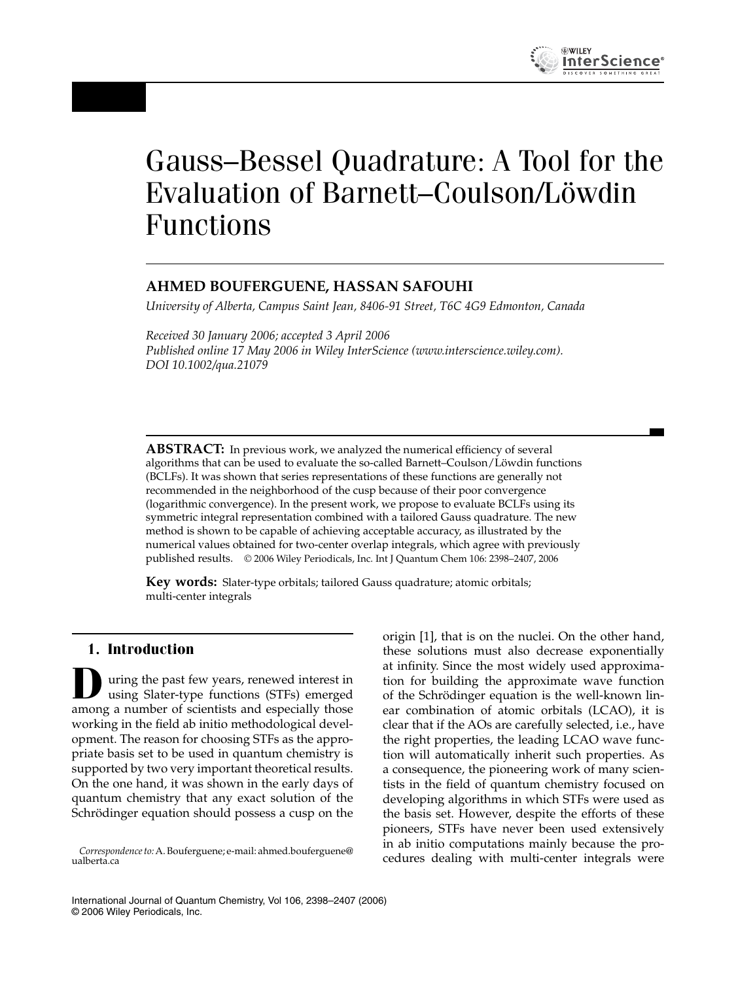# Gauss–Bessel Quadrature: A Tool for the Evaluation of Barnett–Coulson/Löwdin Functions

# **AHMED BOUFERGUENE, HASSAN SAFOUHI**

*University of Alberta, Campus Saint Jean, 8406-91 Street, T6C 4G9 Edmonton, Canada*

*Received 30 January 2006; accepted 3 April 2006 Published online 17 May 2006 in Wiley InterScience (www.interscience.wiley.com). DOI 10.1002/qua.21079*

**ABSTRACT:** In previous work, we analyzed the numerical efficiency of several algorithms that can be used to evaluate the so-called Barnett–Coulson/Löwdin functions (BCLFs). It was shown that series representations of these functions are generally not recommended in the neighborhood of the cusp because of their poor convergence (logarithmic convergence). In the present work, we propose to evaluate BCLFs using its symmetric integral representation combined with a tailored Gauss quadrature. The new method is shown to be capable of achieving acceptable accuracy, as illustrated by the numerical values obtained for two-center overlap integrals, which agree with previously published results. © 2006 Wiley Periodicals, Inc. Int J Quantum Chem 106: 2398–2407, 2006

**Key words:** Slater-type orbitals; tailored Gauss quadrature; atomic orbitals; multi-center integrals

## **1. Introduction**

**D**uring the past few years, renewed interest in using Slater-type functions (STFs) emerged among a number of scientists and especially those working in the field ab initio methodological development. The reason for choosing STFs as the appropriate basis set to be used in quantum chemistry is supported by two very important theoretical results. On the one hand, it was shown in the early days of quantum chemistry that any exact solution of the Schrödinger equation should possess a cusp on the origin [1], that is on the nuclei. On the other hand, these solutions must also decrease exponentially at infinity. Since the most widely used approximation for building the approximate wave function of the Schrödinger equation is the well-known linear combination of atomic orbitals (LCAO), it is clear that if the AOs are carefully selected, i.e., have the right properties, the leading LCAO wave function will automatically inherit such properties. As a consequence, the pioneering work of many scientists in the field of quantum chemistry focused on developing algorithms in which STFs were used as the basis set. However, despite the efforts of these pioneers, STFs have never been used extensively in ab initio computations mainly because the procedures dealing with multi-center integrals were

*Correspondence to:*A. Bouferguene; e-mail: ahmed.bouferguene@ ualberta.ca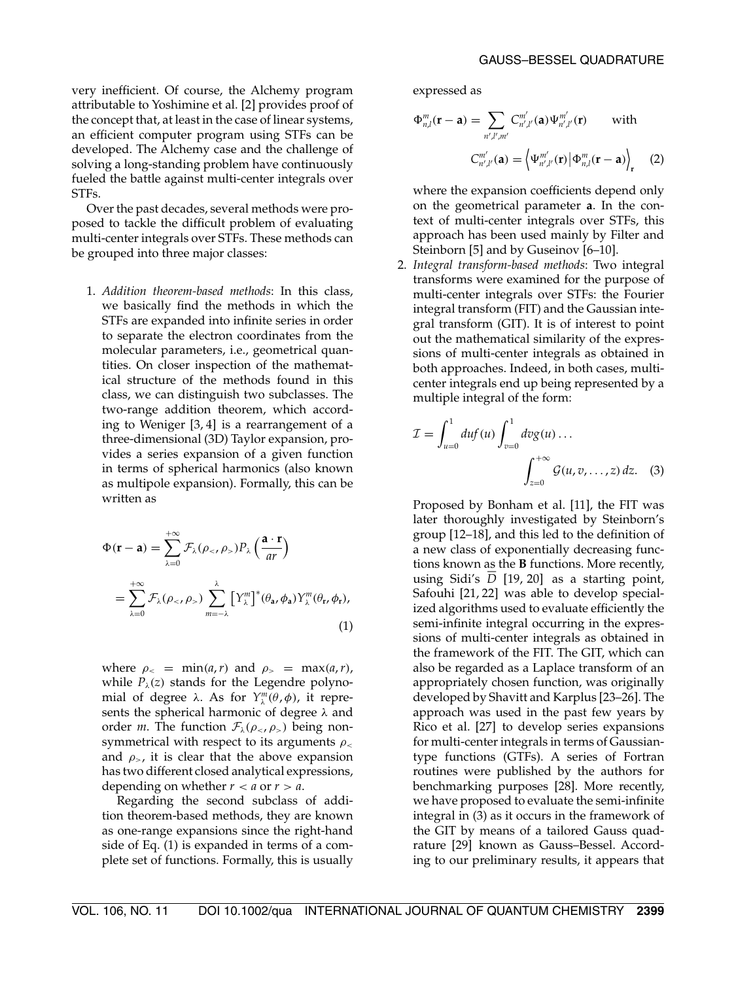very inefficient. Of course, the Alchemy program attributable to Yoshimine et al. [2] provides proof of the concept that, at least in the case of linear systems, an efficient computer program using STFs can be developed. The Alchemy case and the challenge of solving a long-standing problem have continuously fueled the battle against multi-center integrals over STFs.

Over the past decades, several methods were proposed to tackle the difficult problem of evaluating multi-center integrals over STFs. These methods can be grouped into three major classes:

1. *Addition theorem-based methods*: In this class, we basically find the methods in which the STFs are expanded into infinite series in order to separate the electron coordinates from the molecular parameters, i.e., geometrical quantities. On closer inspection of the mathematical structure of the methods found in this class, we can distinguish two subclasses. The two-range addition theorem, which according to Weniger [3, 4] is a rearrangement of a three-dimensional (3D) Taylor expansion, provides a series expansion of a given function in terms of spherical harmonics (also known as multipole expansion). Formally, this can be written as

$$
\Phi(\mathbf{r} - \mathbf{a}) = \sum_{\lambda=0}^{+\infty} \mathcal{F}_{\lambda}(\rho_{<\ell}, \rho_{>}) P_{\lambda} \left(\frac{\mathbf{a} \cdot \mathbf{r}}{ar}\right)
$$

$$
= \sum_{\lambda=0}^{+\infty} \mathcal{F}_{\lambda}(\rho_{<\ell}, \rho_{>}) \sum_{m=-\lambda}^{\lambda} \left[ Y_{\lambda}^{m} \right]^* (\theta_{\mathbf{a}}, \phi_{\mathbf{a}}) Y_{\lambda}^{m} (\theta_{\mathbf{r}}, \phi_{\mathbf{r}}), \tag{1}
$$

where  $\rho_{\le}$  = min(*a*,*r*) and  $\rho_{\ge}$  = max(*a*,*r*), while  $P_{\lambda}(z)$  stands for the Legendre polynomial of degree  $\lambda$ . As for  $Y_{\lambda}^{m}(\theta, \phi)$ , it represents the spherical harmonic of degree  $\lambda$  and order *m*. The function  $\mathcal{F}_{\lambda}(\rho_{<}, \rho_{>})$  being nonsymmetrical with respect to its arguments  $\rho_{\leq}$ and  $\rho_{\geq}$ , it is clear that the above expansion has two different closed analytical expressions, depending on whether  $r < a$  or  $r > a$ .

Regarding the second subclass of addition theorem-based methods, they are known as one-range expansions since the right-hand side of Eq. (1) is expanded in terms of a complete set of functions. Formally, this is usually expressed as

$$
\Phi_{n,l}^m(\mathbf{r}-\mathbf{a}) = \sum_{n',l',m'} C_{n',l'}^{m'}(\mathbf{a}) \Psi_{n',l'}^{m'}(\mathbf{r}) \qquad \text{with}
$$

$$
C_{n',l'}^{m'}(\mathbf{a}) = \left\langle \Psi_{n',l'}^{m'}(\mathbf{r}) \middle| \Phi_{n,l}^m(\mathbf{r}-\mathbf{a}) \right\rangle_{\mathbf{r}} \qquad (2)
$$

where the expansion coefficients depend only on the geometrical parameter **a**. In the context of multi-center integrals over STFs, this approach has been used mainly by Filter and Steinborn [5] and by Guseinov [6–10].

2. *Integral transform-based methods*: Two integral transforms were examined for the purpose of multi-center integrals over STFs: the Fourier integral transform (FIT) and the Gaussian integral transform (GIT). It is of interest to point out the mathematical similarity of the expressions of multi-center integrals as obtained in both approaches. Indeed, in both cases, multicenter integrals end up being represented by a multiple integral of the form:

$$
\mathcal{I} = \int_{u=0}^{1} du f(u) \int_{v=0}^{1} dv g(u) \dots
$$

$$
\int_{z=0}^{+\infty} \mathcal{G}(u, v, \dots, z) dz. \quad (3)
$$

Proposed by Bonham et al. [11], the FIT was later thoroughly investigated by Steinborn's group [12–18], and this led to the definition of a new class of exponentially decreasing functions known as the **B** functions. More recently, using Sidi's *D* [19, 20] as a starting point, Safouhi [21, 22] was able to develop specialized algorithms used to evaluate efficiently the semi-infinite integral occurring in the expressions of multi-center integrals as obtained in the framework of the FIT. The GIT, which can also be regarded as a Laplace transform of an appropriately chosen function, was originally developed by Shavitt and Karplus [23–26]. The approach was used in the past few years by Rico et al. [27] to develop series expansions for multi-center integrals in terms of Gaussiantype functions (GTFs). A series of Fortran routines were published by the authors for benchmarking purposes [28]. More recently, we have proposed to evaluate the semi-infinite integral in (3) as it occurs in the framework of the GIT by means of a tailored Gauss quadrature [29] known as Gauss–Bessel. According to our preliminary results, it appears that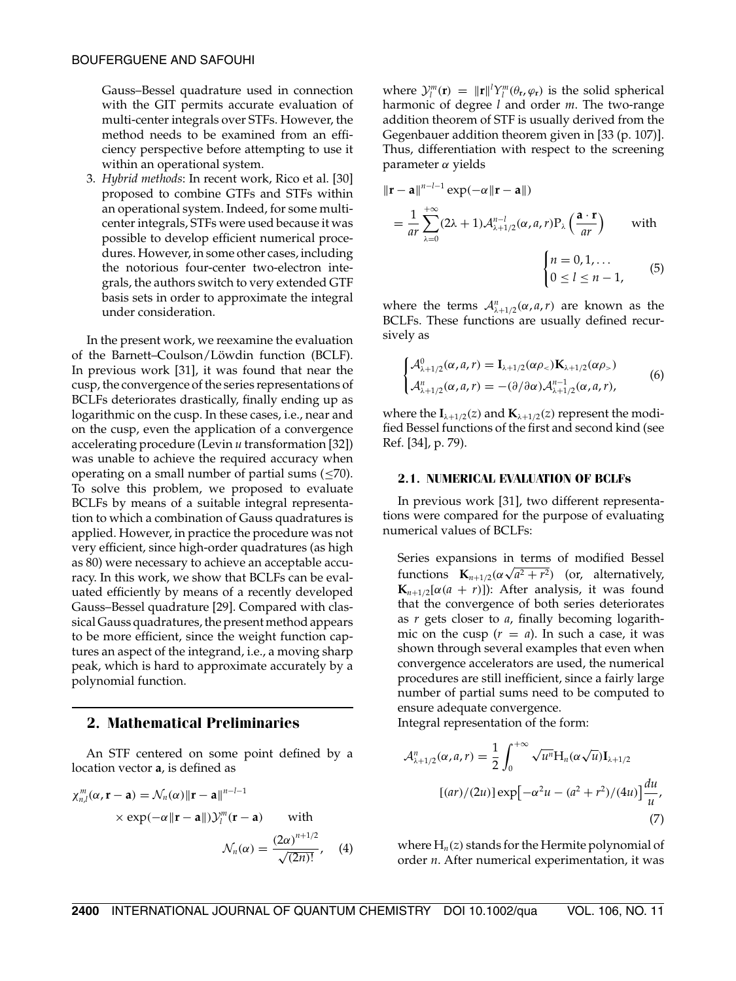Gauss–Bessel quadrature used in connection with the GIT permits accurate evaluation of multi-center integrals over STFs. However, the method needs to be examined from an efficiency perspective before attempting to use it within an operational system.

3. *Hybrid methods*: In recent work, Rico et al. [30] proposed to combine GTFs and STFs within an operational system. Indeed, for some multicenter integrals, STFs were used because it was possible to develop efficient numerical procedures. However, in some other cases, including the notorious four-center two-electron integrals, the authors switch to very extended GTF basis sets in order to approximate the integral under consideration.

In the present work, we reexamine the evaluation of the Barnett–Coulson/Löwdin function (BCLF). In previous work [31], it was found that near the cusp, the convergence of the series representations of BCLFs deteriorates drastically, finally ending up as logarithmic on the cusp. In these cases, i.e., near and on the cusp, even the application of a convergence accelerating procedure (Levin *u* transformation [32]) was unable to achieve the required accuracy when operating on a small number of partial sums  $(\leq 70)$ . To solve this problem, we proposed to evaluate BCLFs by means of a suitable integral representation to which a combination of Gauss quadratures is applied. However, in practice the procedure was not very efficient, since high-order quadratures (as high as 80) were necessary to achieve an acceptable accuracy. In this work, we show that BCLFs can be evaluated efficiently by means of a recently developed Gauss–Bessel quadrature [29]. Compared with classical Gauss quadratures, the present method appears to be more efficient, since the weight function captures an aspect of the integrand, i.e., a moving sharp peak, which is hard to approximate accurately by a polynomial function.

## **2. Mathematical Preliminaries**

An STF centered on some point defined by a location vector **a**, is defined as

$$
\chi_{n,l}^{m}(\alpha, \mathbf{r} - \mathbf{a}) = \mathcal{N}_n(\alpha) \|\mathbf{r} - \mathbf{a}\|^{n-l-1}
$$
  
× exp $(-\alpha \|\mathbf{r} - \mathbf{a}\|)\mathcal{Y}_l^m(\mathbf{r} - \mathbf{a})$  with  

$$
\mathcal{N}_n(\alpha) = \frac{(2\alpha)^{n+1/2}}{\sqrt{(2n)!}}, \quad (4)
$$

where  $\mathcal{Y}_l^m(\mathbf{r}) = ||\mathbf{r}||^l Y_l^m(\theta_\mathbf{r}, \varphi_\mathbf{r})$  is the solid spherical harmonic of degree *l* and order *m*. The two-range addition theorem of STF is usually derived from the Gegenbauer addition theorem given in [33 (p. 107)]. Thus, differentiation with respect to the screening parameter α yields

$$
\|\mathbf{r} - \mathbf{a}\|^{n-l-1} \exp(-\alpha \|\mathbf{r} - \mathbf{a}\|)
$$
  
\n
$$
= \frac{1}{ar} \sum_{\lambda=0}^{+\infty} (2\lambda + 1) \mathcal{A}_{\lambda+1/2}^{n-l} (\alpha, a, r) P_{\lambda} \left(\frac{\mathbf{a} \cdot \mathbf{r}}{ar}\right) \text{ with}
$$
  
\n
$$
\begin{cases} n = 0, 1, ... \\ 0 \le l \le n - 1, \end{cases}
$$
 (5)

where the terms  $A_{\lambda+1/2}^n(\alpha, a, r)$  are known as the BCLFs. These functions are usually defined recursively as

$$
\begin{cases}\n\mathcal{A}^0_{\lambda+1/2}(\alpha, a, r) = \mathbf{I}_{\lambda+1/2}(\alpha \rho_<) \mathbf{K}_{\lambda+1/2}(\alpha \rho_>) \\
\mathcal{A}^n_{\lambda+1/2}(\alpha, a, r) = -(\partial/\partial \alpha) \mathcal{A}^{n-1}_{\lambda+1/2}(\alpha, a, r),\n\end{cases} (6)
$$

where the  $I_{\lambda+1/2}(z)$  and  $K_{\lambda+1/2}(z)$  represent the modified Bessel functions of the first and second kind (see Ref. [34], p. 79).

#### **2.1. NUMERICAL EVALUATION OF BCLFs**

In previous work [31], two different representations were compared for the purpose of evaluating numerical values of BCLFs:

Series expansions in terms of modified Bessel functions  $\mathbf{K}_{n+1/2}(\alpha \sqrt{a^2 + r^2})$  (or, alternatively, **K**<sub>*n*+1/2</sub>[ $\alpha$ ( $a + r$ )]): After analysis, it was found that the convergence of both series deteriorates as *r* gets closer to *a*, finally becoming logarithmic on the cusp  $(r = a)$ . In such a case, it was shown through several examples that even when convergence accelerators are used, the numerical procedures are still inefficient, since a fairly large number of partial sums need to be computed to ensure adequate convergence.

Integral representation of the form:

$$
\mathcal{A}_{\lambda+1/2}^{n}(\alpha, a, r) = \frac{1}{2} \int_{0}^{+\infty} \sqrt{u^{n}} H_{n}(\alpha \sqrt{u}) I_{\lambda+1/2}
$$

$$
[(ar)/(2u)] \exp[-\alpha^{2}u - (a^{2} + r^{2})/(4u)] \frac{du}{u},
$$

$$
(7)
$$

where  $H_n(z)$  stands for the Hermite polynomial of order *n*. After numerical experimentation, it was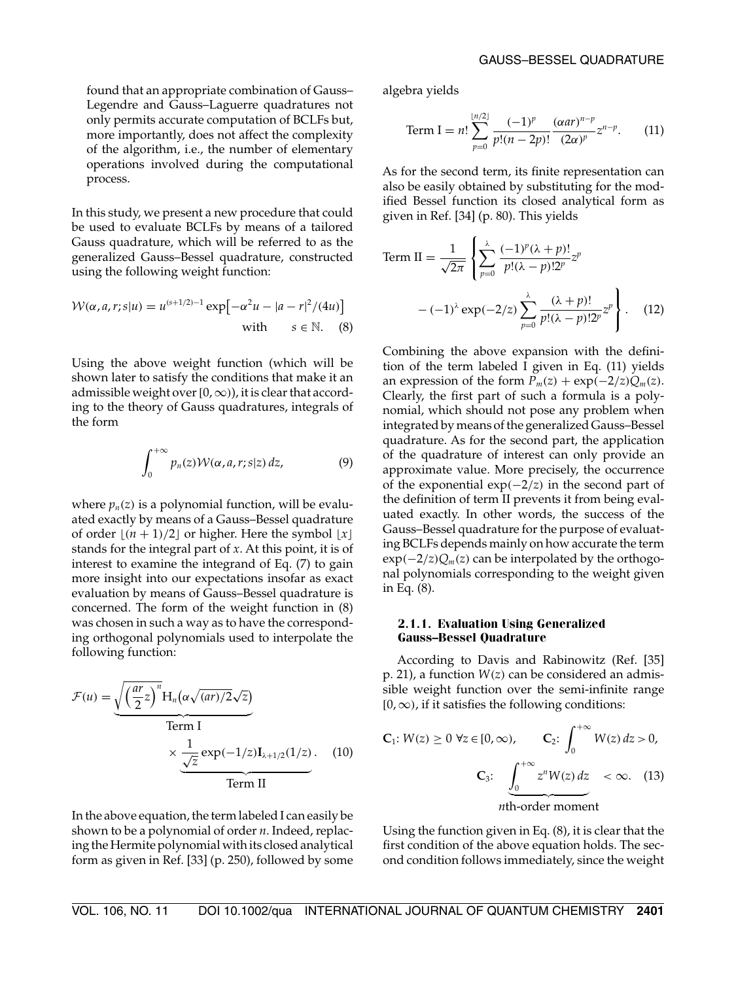found that an appropriate combination of Gauss– Legendre and Gauss–Laguerre quadratures not only permits accurate computation of BCLFs but, more importantly, does not affect the complexity of the algorithm, i.e., the number of elementary operations involved during the computational process.

In this study, we present a new procedure that could be used to evaluate BCLFs by means of a tailored Gauss quadrature, which will be referred to as the generalized Gauss–Bessel quadrature, constructed using the following weight function:

$$
W(\alpha, a, r; s|u) = u^{(s+1/2)-1} \exp\left[-\alpha^2 u - |a - r|^2/(4u)\right]
$$
  
with  $s \in \mathbb{N}$ . (8)

Using the above weight function (which will be shown later to satisfy the conditions that make it an admissible weight over  $[0, \infty)$ , it is clear that according to the theory of Gauss quadratures, integrals of the form

$$
\int_0^{+\infty} p_n(z) \mathcal{W}(\alpha, a, r; s|z) dz,
$$
 (9)

where  $p_n(z)$  is a polynomial function, will be evaluated exactly by means of a Gauss–Bessel quadrature of order  $\lfloor (n + 1)/2 \rfloor$  or higher. Here the symbol  $\lfloor x \rfloor$ stands for the integral part of *x*. At this point, it is of interest to examine the integrand of Eq. (7) to gain more insight into our expectations insofar as exact evaluation by means of Gauss–Bessel quadrature is concerned. The form of the weight function in (8) was chosen in such a way as to have the corresponding orthogonal polynomials used to interpolate the following function:

$$
\mathcal{F}(u) = \underbrace{\sqrt{\left(\frac{ar}{2}z\right)^n} H_n\left(\alpha\sqrt{(ar)/2}\sqrt{z}\right)}_{\text{Term I}} \times \underbrace{\frac{1}{\sqrt{z}} \exp(-1/z) I_{\lambda+1/2}(1/z)}_{\text{Term II}}.
$$
 (10)

In the above equation, the term labeled I can easily be shown to be a polynomial of order *n*. Indeed, replacing the Hermite polynomial with its closed analytical form as given in Ref. [33] (p. 250), followed by some algebra yields

Term I = 
$$
n! \sum_{p=0}^{\lfloor n/2 \rfloor} \frac{(-1)^p}{p!(n-2p)!} \frac{(\alpha a r)^{n-p}}{(2\alpha)^p} z^{n-p}.
$$
 (11)

As for the second term, its finite representation can also be easily obtained by substituting for the modified Bessel function its closed analytical form as given in Ref. [34] (p. 80). This yields

Term II = 
$$
\frac{1}{\sqrt{2\pi}} \left\{ \sum_{p=0}^{\lambda} \frac{(-1)^p (\lambda + p)!}{p! (\lambda - p)! 2^p} z^p - (-1)^{\lambda} \exp(-2/z) \sum_{p=0}^{\lambda} \frac{(\lambda + p)!}{p! (\lambda - p)! 2^p} z^p \right\}.
$$
 (12)

Combining the above expansion with the definition of the term labeled I given in Eq. (11) yields an expression of the form  $P_m(z) + \exp(-2/z)Q_m(z)$ . Clearly, the first part of such a formula is a polynomial, which should not pose any problem when integrated by means of the generalized Gauss–Bessel quadrature. As for the second part, the application of the quadrature of interest can only provide an approximate value. More precisely, the occurrence of the exponential exp(−2/*z*) in the second part of the definition of term II prevents it from being evaluated exactly. In other words, the success of the Gauss–Bessel quadrature for the purpose of evaluating BCLFs depends mainly on how accurate the term exp(−2/*z*)*Qm*(*z*) can be interpolated by the orthogonal polynomials corresponding to the weight given in Eq. (8).

#### **2.1.1. Evaluation Using Generalized Gauss–Bessel Quadrature**

According to Davis and Rabinowitz (Ref. [35] p. 21), a function *W*(*z*) can be considered an admissible weight function over the semi-infinite range  $[0, \infty)$ , if it satisfies the following conditions:

$$
\mathbf{C}_1: W(z) \ge 0 \ \forall z \in [0, \infty), \qquad \mathbf{C}_2: \int_0^{+\infty} W(z) \, dz > 0,
$$
\n
$$
\mathbf{C}_3: \underbrace{\int_0^{+\infty} z^n W(z) \, dz}_{n\text{th-order moment}} < \infty. \tag{13}
$$

Using the function given in Eq. (8), it is clear that the first condition of the above equation holds. The second condition follows immediately, since the weight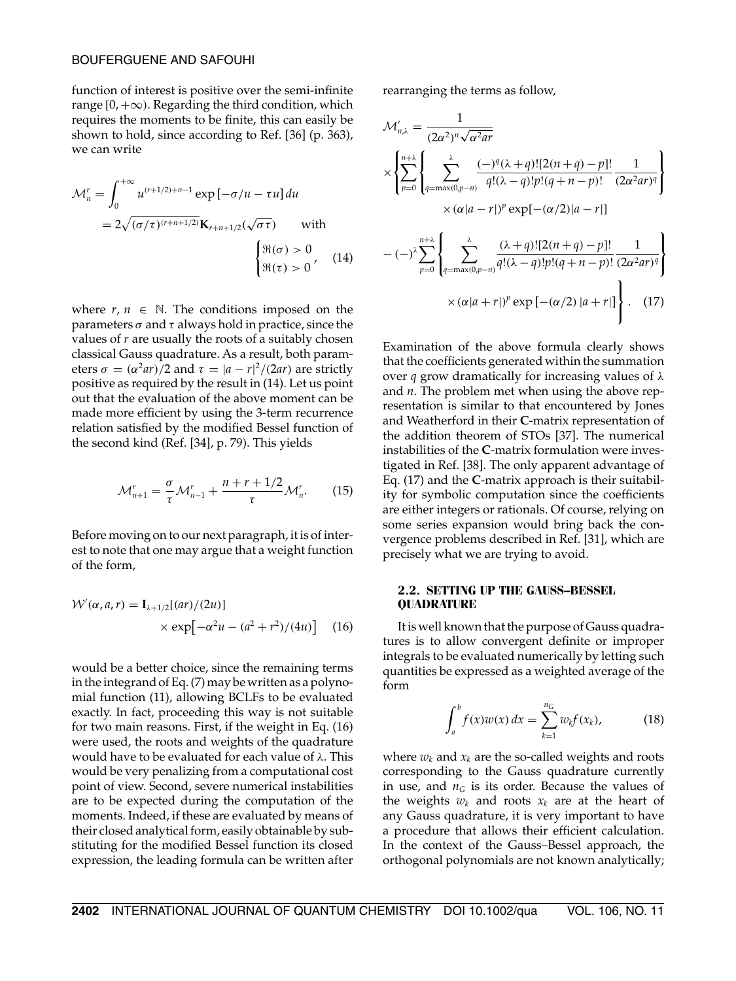#### BOUFERGUENE AND SAFOUHI

function of interest is positive over the semi-infinite range  $[0, +\infty)$ . Regarding the third condition, which requires the moments to be finite, this can easily be shown to hold, since according to Ref. [36] (p. 363), we can write

$$
\mathcal{M}_n^r = \int_0^{+\infty} u^{(r+1/2)+n-1} \exp\left[-\sigma/u - \tau u\right] du
$$
  
=  $2\sqrt{(\sigma/\tau)^{(r+n+1/2)}} \mathbf{K}_{r+n+1/2}(\sqrt{\sigma \tau})$  with  

$$
\begin{cases} \Re(\sigma) > 0 \\ \Re(\tau) > 0 \end{cases}
$$
 (14)

where  $r, n \in \mathbb{N}$ . The conditions imposed on the parameters  $\sigma$  and  $\tau$  always hold in practice, since the values of *r* are usually the roots of a suitably chosen classical Gauss quadrature. As a result, both parameters  $\sigma = (\alpha^2 ar)/2$  and  $\tau = |a - r|^2/(2ar)$  are strictly positive as required by the result in (14). Let us point out that the evaluation of the above moment can be made more efficient by using the 3-term recurrence relation satisfied by the modified Bessel function of the second kind (Ref. [34], p. 79). This yields

$$
\mathcal{M}_{n+1}^r = \frac{\sigma}{\tau} \mathcal{M}_{n-1}^r + \frac{n+r+1/2}{\tau} \mathcal{M}_n^r. \tag{15}
$$

Before moving on to our next paragraph, it is of interest to note that one may argue that a weight function of the form,

$$
W'(\alpha, a, r) = I_{\lambda+1/2}[(ar)/(2u)]
$$
  
 
$$
\times \exp[-\alpha^2 u - (a^2 + r^2)/(4u)] \quad (16)
$$

would be a better choice, since the remaining terms in the integrand of Eq. (7) may be written as a polynomial function (11), allowing BCLFs to be evaluated exactly. In fact, proceeding this way is not suitable for two main reasons. First, if the weight in Eq. (16) were used, the roots and weights of the quadrature would have to be evaluated for each value of  $\lambda$ . This would be very penalizing from a computational cost point of view. Second, severe numerical instabilities are to be expected during the computation of the moments. Indeed, if these are evaluated by means of their closed analytical form, easily obtainable by substituting for the modified Bessel function its closed expression, the leading formula can be written after

rearranging the terms as follow,

$$
\mathcal{M}'_{n,\lambda} = \frac{1}{(2\alpha^2)^n \sqrt{\alpha^2 ar}}
$$
\n
$$
\times \left\{ \sum_{p=0}^{n+\lambda} \left\{ \sum_{q=\max(0,p-n)}^{\lambda} \frac{(-)^q (\lambda+q)![2(n+q)-p]!}{q!(\lambda-q)!p!(q+n-p)!} \frac{1}{(2\alpha^2 ar)^q} \right\} \right\}
$$
\n
$$
\times (\alpha |a-r|)^p \exp[-(\alpha/2)|a-r|]
$$
\n
$$
-(-)^{\lambda} \sum_{p=0}^{n+\lambda} \left\{ \sum_{q=\max(0,p-n)}^{\lambda} \frac{(\lambda+q)![2(n+q)-p]!}{q!(\lambda-q)!p!(q+n-p)!} \frac{1}{(2\alpha^2 ar)^q} \right\}
$$
\n
$$
\times (\alpha |a+r|)^p \exp[-(\alpha/2)|a+r|]
$$
\n(17)

Examination of the above formula clearly shows that the coefficients generated within the summation over *q* grow dramatically for increasing values of λ and *n*. The problem met when using the above representation is similar to that encountered by Jones and Weatherford in their **C**-matrix representation of the addition theorem of STOs [37]. The numerical instabilities of the **C**-matrix formulation were investigated in Ref. [38]. The only apparent advantage of Eq. (17) and the **C**-matrix approach is their suitability for symbolic computation since the coefficients are either integers or rationals. Of course, relying on some series expansion would bring back the convergence problems described in Ref. [31], which are precisely what we are trying to avoid.

#### **2.2. SETTING UP THE GAUSS–BESSEL QUADRATURE**

It is well known that the purpose of Gauss quadratures is to allow convergent definite or improper integrals to be evaluated numerically by letting such quantities be expressed as a weighted average of the form

$$
\int_{a}^{b} f(x)w(x) dx = \sum_{k=1}^{n_G} w_k f(x_k),
$$
 (18)

where  $w_k$  and  $x_k$  are the so-called weights and roots corresponding to the Gauss quadrature currently in use, and  $n<sub>G</sub>$  is its order. Because the values of the weights  $w_k$  and roots  $x_k$  are at the heart of any Gauss quadrature, it is very important to have a procedure that allows their efficient calculation. In the context of the Gauss–Bessel approach, the orthogonal polynomials are not known analytically;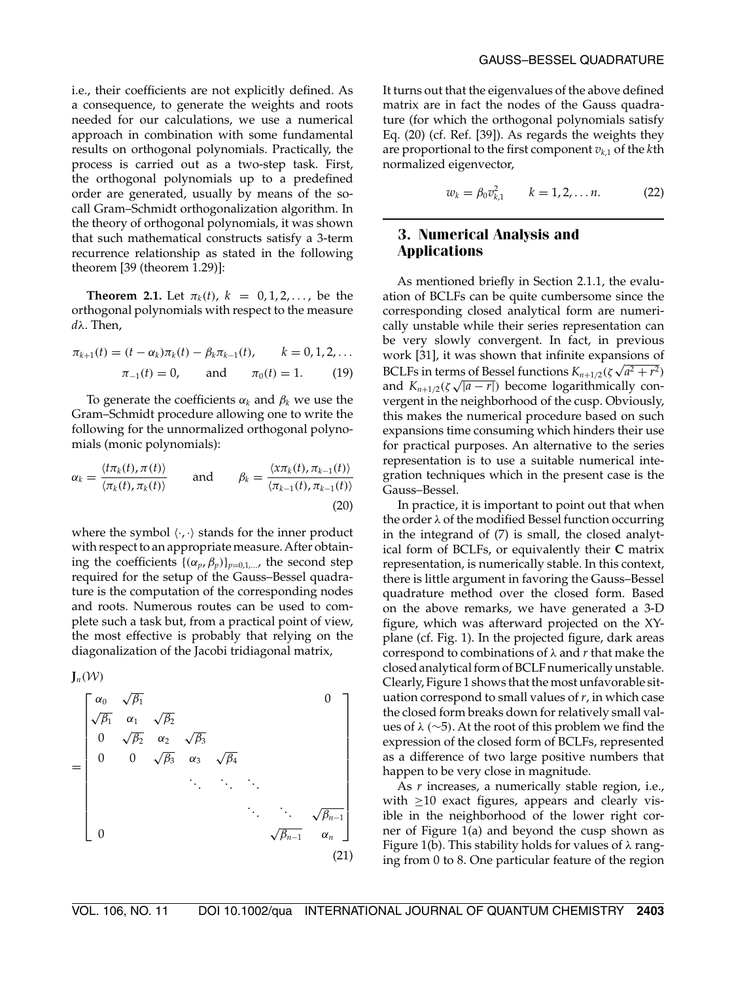i.e., their coefficients are not explicitly defined. As a consequence, to generate the weights and roots needed for our calculations, we use a numerical approach in combination with some fundamental results on orthogonal polynomials. Practically, the process is carried out as a two-step task. First, the orthogonal polynomials up to a predefined order are generated, usually by means of the socall Gram–Schmidt orthogonalization algorithm. In the theory of orthogonal polynomials, it was shown that such mathematical constructs satisfy a 3-term recurrence relationship as stated in the following theorem [39 (theorem 1.29)]:

**Theorem 2.1.** Let  $\pi_k(t)$ ,  $k = 0, 1, 2, \ldots$ , be the orthogonal polynomials with respect to the measure *d*λ. Then,

$$
\pi_{k+1}(t) = (t - \alpha_k)\pi_k(t) - \beta_k \pi_{k-1}(t), \qquad k = 0, 1, 2, ...
$$
  

$$
\pi_{-1}(t) = 0, \qquad \text{and} \qquad \pi_0(t) = 1. \tag{19}
$$

To generate the coefficients  $\alpha_k$  and  $\beta_k$  we use the Gram–Schmidt procedure allowing one to write the following for the unnormalized orthogonal polynomials (monic polynomials):

$$
\alpha_k = \frac{\langle t\pi_k(t), \pi(t)\rangle}{\langle \pi_k(t), \pi_k(t)\rangle} \quad \text{and} \quad \beta_k = \frac{\langle \chi\pi_k(t), \pi_{k-1}(t)\rangle}{\langle \pi_{k-1}(t), \pi_{k-1}(t)\rangle}
$$
\n(20)

where the symbol  $\langle \cdot, \cdot \rangle$  stands for the inner product with respect to an appropriate measure. After obtaining the coefficients  $\{(\alpha_p, \beta_p)\}_{p=0,1,\dots}$ , the second step required for the setup of the Gauss–Bessel quadrature is the computation of the corresponding nodes and roots. Numerous routes can be used to complete such a task but, from a practical point of view, the most effective is probably that relying on the diagonalization of the Jacobi tridiagonal matrix,

 $J_n(\mathcal{W})$ 

$$
= \begin{bmatrix} \alpha_0 & \sqrt{\beta_1} & & & & 0\\ \sqrt{\beta_1} & \alpha_1 & \sqrt{\beta_2} & & & &\\ 0 & \sqrt{\beta_2} & \alpha_2 & \sqrt{\beta_3} & & &\\ 0 & 0 & \sqrt{\beta_3} & \alpha_3 & \sqrt{\beta_4} & & &\\ & & \ddots & \ddots & \ddots & \ddots & \ddots &\\ & & & & \ddots & \ddots & \ddots & \sqrt{\beta_{n-1}}\\ 0 & & & & & & \sqrt{\beta_{n-1}} & \alpha_n \end{bmatrix}
$$
(21)

It turns out that the eigenvalues of the above defined matrix are in fact the nodes of the Gauss quadrature (for which the orthogonal polynomials satisfy Eq. (20) (cf. Ref. [39]). As regards the weights they are proportional to the first component  $v_{k,1}$  of the  $k$ th normalized eigenvector,

$$
w_k = \beta_0 v_{k,1}^2 \qquad k = 1, 2, \dots n. \tag{22}
$$

## **3. Numerical Analysis and Applications**

As mentioned briefly in Section 2.1.1, the evaluation of BCLFs can be quite cumbersome since the corresponding closed analytical form are numerically unstable while their series representation can be very slowly convergent. In fact, in previous work [31], it was shown that infinite expansions of BCLFs in terms of Bessel functions  $K_{n+1/2}(\zeta \sqrt{a^2 + r^2})$ and  $K_{n+1/2}(\zeta\sqrt{|a-r|})$  become logarithmically convergent in the neighborhood of the cusp. Obviously, this makes the numerical procedure based on such expansions time consuming which hinders their use for practical purposes. An alternative to the series representation is to use a suitable numerical integration techniques which in the present case is the Gauss–Bessel.

In practice, it is important to point out that when the order  $\lambda$  of the modified Bessel function occurring in the integrand of (7) is small, the closed analytical form of BCLFs, or equivalently their **C** matrix representation, is numerically stable. In this context, there is little argument in favoring the Gauss–Bessel quadrature method over the closed form. Based on the above remarks, we have generated a 3-D figure, which was afterward projected on the XYplane (cf. Fig. 1). In the projected figure, dark areas correspond to combinations of λ and *r* that make the closed analytical form of BCLF numerically unstable. Clearly, Figure 1 shows that the most unfavorable situation correspond to small values of *r*, in which case the closed form breaks down for relatively small values of  $\lambda$  (∼5). At the root of this problem we find the expression of the closed form of BCLFs, represented as a difference of two large positive numbers that happen to be very close in magnitude.

As *r* increases, a numerically stable region, i.e., with  $\geq$ 10 exact figures, appears and clearly visible in the neighborhood of the lower right corner of Figure 1(a) and beyond the cusp shown as Figure 1(b). This stability holds for values of  $\lambda$  ranging from 0 to 8. One particular feature of the region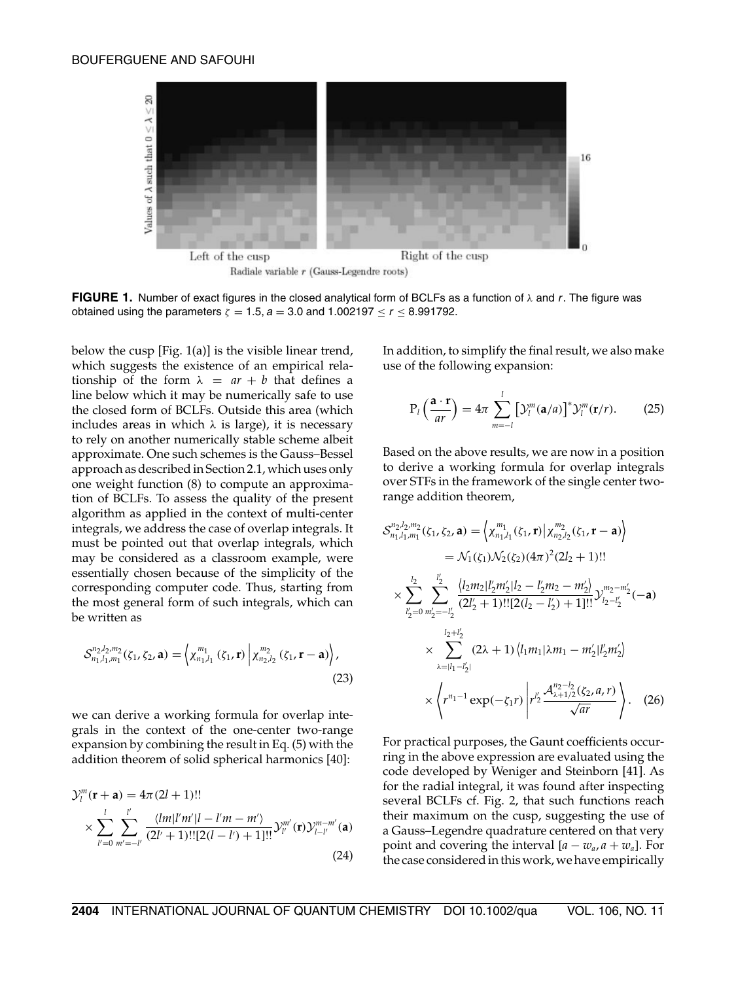

**FIGURE 1.** Number of exact figures in the closed analytical form of BCLFs as a function of  $\lambda$  and r. The figure was obtained using the parameters  $\zeta = 1.5$ ,  $a = 3.0$  and  $1.002197 \le r \le 8.991792$ .

below the cusp [Fig. 1(a)] is the visible linear trend, which suggests the existence of an empirical relationship of the form  $\lambda = ar + b$  that defines a line below which it may be numerically safe to use the closed form of BCLFs. Outside this area (which includes areas in which  $\lambda$  is large), it is necessary to rely on another numerically stable scheme albeit approximate. One such schemes is the Gauss–Bessel approach as described in Section 2.1, which uses only one weight function (8) to compute an approximation of BCLFs. To assess the quality of the present algorithm as applied in the context of multi-center integrals, we address the case of overlap integrals. It must be pointed out that overlap integrals, which may be considered as a classroom example, were essentially chosen because of the simplicity of the corresponding computer code. Thus, starting from the most general form of such integrals, which can be written as

$$
\mathcal{S}_{n_1,l_1,m_1}^{n_2,l_2,m_2}(\zeta_1,\zeta_2,\mathbf{a})=\left\langle \chi_{n_1,l_1}^{m_1}(\zeta_1,\mathbf{r})\left|\chi_{n_2,l_2}^{m_2}(\zeta_1,\mathbf{r}-\mathbf{a})\right\rangle,\right.\tag{23}
$$

we can derive a working formula for overlap integrals in the context of the one-center two-range expansion by combining the result in Eq. (5) with the addition theorem of solid spherical harmonics [40]:

$$
\mathcal{Y}_l^m(\mathbf{r} + \mathbf{a}) = 4\pi (2l + 1)!!
$$
  
\$\times \sum\_{l'=0}^{l} \sum\_{m'=-l'}^{l'} \frac{\langle lm|l'm'|l - l'm - m'\rangle}{(2l' + 1)!![2(l - l') + 1]!!} \mathcal{Y}\_{l'}^{m'}(\mathbf{r}) \mathcal{Y}\_{l-l'}^{m-m'}(\mathbf{a})\$ (24)

In addition, to simplify the final result, we also make use of the following expansion:

$$
P_l\left(\frac{\mathbf{a}\cdot\mathbf{r}}{ar}\right) = 4\pi \sum_{m=-l}^{l} \left[\mathcal{Y}_l^m(\mathbf{a}/a)\right]^* \mathcal{Y}_l^m(\mathbf{r}/r). \tag{25}
$$

Based on the above results, we are now in a position to derive a working formula for overlap integrals over STFs in the framework of the single center tworange addition theorem,

$$
S_{n_1,l_1,m_1}^{n_2,l_2,m_2}(\zeta_1,\zeta_2,\mathbf{a}) = \left\langle \chi_{n_1,l_1}^{m_1}(\zeta_1,\mathbf{r}) \middle| \chi_{n_2,l_2}^{m_2}(\zeta_1,\mathbf{r}-\mathbf{a}) \right\rangle
$$
  
\n
$$
= \mathcal{N}_1(\zeta_1)\mathcal{N}_2(\zeta_2)(4\pi)^2(2l_2+1)!!
$$
  
\n
$$
\times \sum_{l'_2=0}^{l'_2} \sum_{m'_2=-l'_2}^{l'_2} \frac{\langle l_2m_2|l'_2m'_2|l_2-l'_2m_2-m'_2 \rangle}{(2l'_2+1)!![2(l_2-l'_2)+1]!!} \mathcal{Y}_{l_2-l'_2}^{m_2-m'_2}(-\mathbf{a})
$$
  
\n
$$
\times \sum_{\lambda=ll_1-l'_2}^{l_2+l'_2} (2\lambda+1) \langle l_1m_1|\lambda m_1-m'_2|l'_2m'_2 \rangle
$$
  
\n
$$
\times \left\langle r^{n_1-1} \exp(-\zeta_1 r) \middle| r'^2 \frac{\mathcal{A}_{\lambda+1/2}^{n_2-l_2}(\zeta_2,a,r)}{\sqrt{ar}} \right\rangle. \quad (26)
$$

For practical purposes, the Gaunt coefficients occurring in the above expression are evaluated using the code developed by Weniger and Steinborn [41]. As for the radial integral, it was found after inspecting several BCLFs cf. Fig. 2, that such functions reach their maximum on the cusp, suggesting the use of a Gauss–Legendre quadrature centered on that very point and covering the interval  $[a - w_a, a + w_a]$ . For the case considered in this work, we have empirically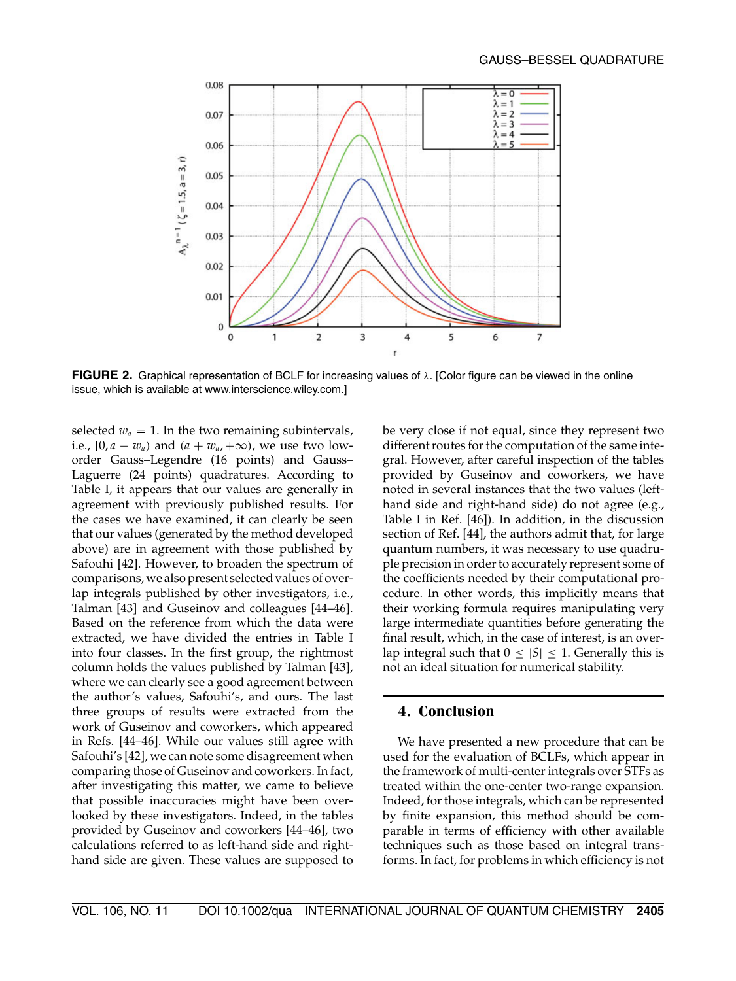

**FIGURE 2.** Graphical representation of BCLF for increasing values of λ. [Color figure can be viewed in the online issue, which is available at www.interscience.wiley.com.]

selected  $w_a = 1$ . In the two remaining subintervals, i.e.,  $[0, a - w_a)$  and  $(a + w_a, +\infty)$ , we use two loworder Gauss–Legendre (16 points) and Gauss– Laguerre (24 points) quadratures. According to Table I, it appears that our values are generally in agreement with previously published results. For the cases we have examined, it can clearly be seen that our values (generated by the method developed above) are in agreement with those published by Safouhi [42]. However, to broaden the spectrum of comparisons, we also present selected values of overlap integrals published by other investigators, i.e., Talman [43] and Guseinov and colleagues [44–46]. Based on the reference from which the data were extracted, we have divided the entries in Table I into four classes. In the first group, the rightmost column holds the values published by Talman [43], where we can clearly see a good agreement between the author's values, Safouhi's, and ours. The last three groups of results were extracted from the work of Guseinov and coworkers, which appeared in Refs. [44–46]. While our values still agree with Safouhi's [42], we can note some disagreement when comparing those of Guseinov and coworkers. In fact, after investigating this matter, we came to believe that possible inaccuracies might have been overlooked by these investigators. Indeed, in the tables provided by Guseinov and coworkers [44–46], two calculations referred to as left-hand side and righthand side are given. These values are supposed to

be very close if not equal, since they represent two different routes for the computation of the same integral. However, after careful inspection of the tables provided by Guseinov and coworkers, we have noted in several instances that the two values (lefthand side and right-hand side) do not agree (e.g., Table I in Ref. [46]). In addition, in the discussion section of Ref. [44], the authors admit that, for large quantum numbers, it was necessary to use quadruple precision in order to accurately represent some of the coefficients needed by their computational procedure. In other words, this implicitly means that their working formula requires manipulating very large intermediate quantities before generating the final result, which, in the case of interest, is an overlap integral such that  $0 \leq |S| \leq 1$ . Generally this is not an ideal situation for numerical stability.

## **4. Conclusion**

We have presented a new procedure that can be used for the evaluation of BCLFs, which appear in the framework of multi-center integrals over STFs as treated within the one-center two-range expansion. Indeed, for those integrals, which can be represented by finite expansion, this method should be comparable in terms of efficiency with other available techniques such as those based on integral transforms. In fact, for problems in which efficiency is not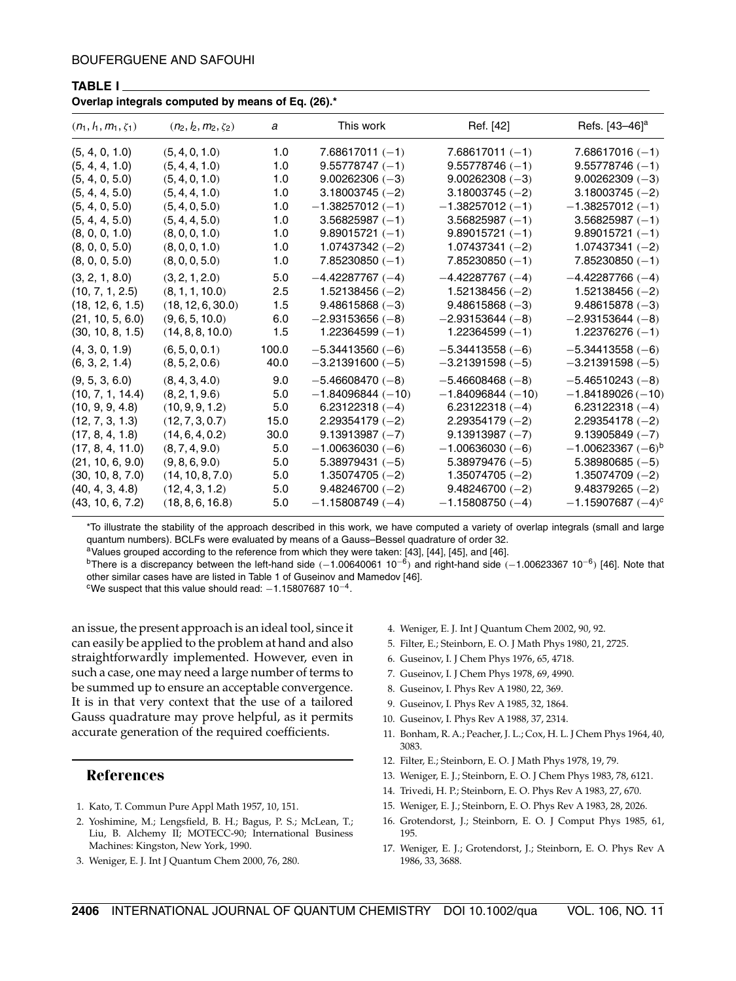**TABLE I**

| Overlap integrals computed by means of Eq. (20). |                            |       |                    |                    |                                    |
|--------------------------------------------------|----------------------------|-------|--------------------|--------------------|------------------------------------|
| $(n_1, l_1, m_1, \zeta_1)$                       | $(n_2, l_2, m_2, \zeta_2)$ | a     | This work          | Ref. [42]          | Refs. [43–46] <sup>a</sup>         |
| (5, 4, 0, 1.0)                                   | (5, 4, 0, 1.0)             | 1.0   | $7.68617011(-1)$   | $7.68617011(-1)$   | $7.68617016(-1)$                   |
| (5, 4, 4, 1.0)                                   | (5, 4, 4, 1.0)             | 1.0   | $9.55778747(-1)$   | $9.55778746(-1)$   | $9.55778746(-1)$                   |
| (5, 4, 0, 5.0)                                   | (5, 4, 0, 1.0)             | 1.0   | $9.00262306(-3)$   | $9.00262308(-3)$   | $9.00262309(-3)$                   |
| (5, 4, 4, 5.0)                                   | (5, 4, 4, 1.0)             | 1.0   | $3.18003745(-2)$   | 3.18003745 (-2)    | $3.18003745(-2)$                   |
| (5, 4, 0, 5.0)                                   | (5, 4, 0, 5.0)             | 1.0   | $-1.38257012(-1)$  | $-1.38257012(-1)$  | $-1.38257012(-1)$                  |
| (5, 4, 4, 5.0)                                   | (5, 4, 4, 5.0)             | 1.0   | $3.56825987(-1)$   | $3.56825987(-1)$   | $3.56825987(-1)$                   |
| (8, 0, 0, 1.0)                                   | (8, 0, 0, 1.0)             | 1.0   | $9.89015721(-1)$   | $9.89015721(-1)$   | $9.89015721(-1)$                   |
| (8, 0, 0, 5.0)                                   | (8, 0, 0, 1.0)             | 1.0   | $1.07437342(-2)$   | $1.07437341(-2)$   | $1.07437341(-2)$                   |
| (8, 0, 0, 5.0)                                   | (8, 0, 0, 5.0)             | 1.0   | $7.85230850(-1)$   | 7.85230850 (-1)    | $7.85230850(-1)$                   |
| (3, 2, 1, 8.0)                                   | (3, 2, 1, 2.0)             | 5.0   | $-4.42287767(-4)$  | $-4.42287767(-4)$  | $-4.42287766(-4)$                  |
| (10, 7, 1, 2.5)                                  | (8, 1, 1, 10.0)            | 2.5   | $1.52138456(-2)$   | $1.52138456(-2)$   | $1.52138456(-2)$                   |
| (18, 12, 6, 1.5)                                 | (18, 12, 6, 30.0)          | 1.5   | $9.48615868(-3)$   | $9.48615868(-3)$   | $9.48615878(-3)$                   |
| (21, 10, 5, 6.0)                                 | (9, 6, 5, 10.0)            | 6.0   | $-2.93153656(-8)$  | $-2.93153644(-8)$  | $-2.93153644(-8)$                  |
| (30, 10, 8, 1.5)                                 | (14, 8, 8, 10.0)           | 1.5   | $1.22364599(-1)$   | $1.22364599(-1)$   | $1.22376276(-1)$                   |
| (4, 3, 0, 1.9)                                   | (6, 5, 0, 0.1)             | 100.0 | $-5.34413560(-6)$  | $-5.34413558(-6)$  | $-5.34413558(-6)$                  |
| (6, 3, 2, 1.4)                                   | (8, 5, 2, 0.6)             | 40.0  | $-3.21391600(-5)$  | $-3.21391598(-5)$  | $-3.21391598(-5)$                  |
| (9, 5, 3, 6.0)                                   | (8, 4, 3, 4.0)             | 9.0   | $-5.46608470(-8)$  | $-5.46608468(-8)$  | $-5.46510243(-8)$                  |
| (10, 7, 1, 14.4)                                 | (8, 2, 1, 9.6)             | 5.0   | $-1.84096844(-10)$ | $-1.84096844(-10)$ | $-1.84189026(-10)$                 |
| (10, 9, 9, 4.8)                                  | (10, 9, 9, 1.2)            | 5.0   | $6.23122318(-4)$   | $6.23122318(-4)$   | $6.23122318(-4)$                   |
| (12, 7, 3, 1.3)                                  | (12, 7, 3, 0.7)            | 15.0  | $2.29354179(-2)$   | $2.29354179(-2)$   | $2.29354178(-2)$                   |
| (17, 8, 4, 1.8)                                  | (14, 6, 4, 0.2)            | 30.0  | $9.13913987(-7)$   | $9.13913987(-7)$   | $9.13905849(-7)$                   |
| (17, 8, 4, 11.0)                                 | (8, 7, 4, 9.0)             | 5.0   | $-1.00636030(-6)$  | $-1.00636030(-6)$  | $-1.00623367$ ( $-6)$ <sup>b</sup> |
| (21, 10, 6, 9.0)                                 | (9, 8, 6, 9.0)             | 5.0   | $5.38979431(-5)$   | $5.38979476(-5)$   | $5.38980685(-5)$                   |
| (30, 10, 8, 7.0)                                 | (14, 10, 8, 7.0)           | 5.0   | $1.35074705(-2)$   | $1.35074705(-2)$   | $1.35074709(-2)$                   |
| (40, 4, 3, 4.8)                                  | (12, 4, 3, 1.2)            | 5.0   | $9.48246700(-2)$   | $9.48246700(-2)$   | $9.48379265(-2)$                   |
| (43, 10, 6, 7.2)                                 | (18, 8, 6, 16.8)           | 5.0   | $-1.15808749(-4)$  | $-1.15808750(-4)$  | $-1.15907687$ ( $-4$ ) $^{\rm c}$  |
|                                                  |                            |       |                    |                    |                                    |

#### **Overlap integrals computed by means of Eq. (26).\***

\*To illustrate the stability of the approach described in this work, we have computed a variety of overlap integrals (small and large quantum numbers). BCLFs were evaluated by means of a Gauss–Bessel quadrature of order 32.

<sup>a</sup>Values grouped according to the reference from which they were taken: [43], [44], [45], and [46].

<sup>b</sup>There is a discrepancy between the left-hand side (−1.00640061 10<sup>-6</sup>) and right-hand side (−1.00623367 10<sup>-6</sup>) [46]. Note that other similar cases have are listed in Table 1 of Guseinov and Mamedov [46].

<sup>c</sup>We suspect that this value should read:  $-1.1580768710^{-4}$ .

an issue, the present approach is an ideal tool, since it can easily be applied to the problem at hand and also straightforwardly implemented. However, even in such a case, one may need a large number of terms to be summed up to ensure an acceptable convergence. It is in that very context that the use of a tailored Gauss quadrature may prove helpful, as it permits accurate generation of the required coefficients.

#### **References**

- 1. Kato, T. Commun Pure Appl Math 1957, 10, 151.
- 2. Yoshimine, M.; Lengsfield, B. H.; Bagus, P. S.; McLean, T.; Liu, B. Alchemy II; MOTECC-90; International Business Machines: Kingston, New York, 1990.
- 3. Weniger, E. J. Int J Quantum Chem 2000, 76, 280.
- 4. Weniger, E. J. Int J Quantum Chem 2002, 90, 92.
- 5. Filter, E.; Steinborn, E. O. J Math Phys 1980, 21, 2725.
- 6. Guseinov, I. J Chem Phys 1976, 65, 4718.
- 7. Guseinov, I. J Chem Phys 1978, 69, 4990.
- 8. Guseinov, I. Phys Rev A 1980, 22, 369.
- 9. Guseinov, I. Phys Rev A 1985, 32, 1864.
- 10. Guseinov, I. Phys Rev A 1988, 37, 2314.
- 11. Bonham, R. A.; Peacher, J. L.; Cox, H. L. J Chem Phys 1964, 40, 3083.
- 12. Filter, E.; Steinborn, E. O. J Math Phys 1978, 19, 79.
- 13. Weniger, E. J.; Steinborn, E. O. J Chem Phys 1983, 78, 6121.
- 14. Trivedi, H. P.; Steinborn, E. O. Phys Rev A 1983, 27, 670.
- 15. Weniger, E. J.; Steinborn, E. O. Phys Rev A 1983, 28, 2026.
- 16. Grotendorst, J.; Steinborn, E. O. J Comput Phys 1985, 61, 195.
- 17. Weniger, E. J.; Grotendorst, J.; Steinborn, E. O. Phys Rev A 1986, 33, 3688.